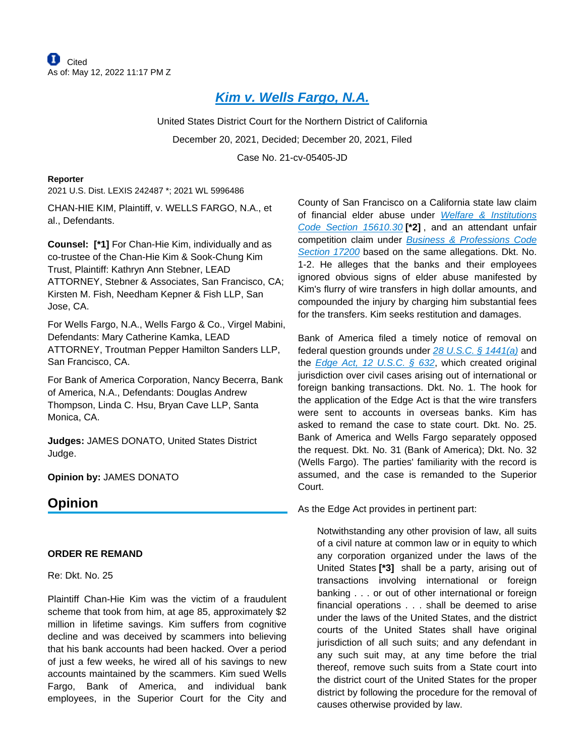# **[Kim v. Wells Fargo, N.A.](https://plus.lexis.com/api/document?collection=cases&id=urn:contentItem:64BS-5G51-K054-G1W8-00000-00&context=1530671)**

United States District Court for the Northern District of California December 20, 2021, Decided; December 20, 2021, Filed Case No. 21-cv-05405-JD

#### **Reporter**

2021 U.S. Dist. LEXIS 242487 \*; 2021 WL 5996486

CHAN-HIE KIM, Plaintiff, v. WELLS FARGO, N.A., et al., Defendants.

**Counsel: [\*1]** For Chan-Hie Kim, individually and as co-trustee of the Chan-Hie Kim & Sook-Chung Kim Trust, Plaintiff: Kathryn Ann Stebner, LEAD ATTORNEY, Stebner & Associates, San Francisco, CA; Kirsten M. Fish, Needham Kepner & Fish LLP, San Jose, CA.

For Wells Fargo, N.A., Wells Fargo & Co., Virgel Mabini, Defendants: Mary Catherine Kamka, LEAD ATTORNEY, Troutman Pepper Hamilton Sanders LLP, San Francisco, CA.

For Bank of America Corporation, Nancy Becerra, Bank of America, N.A., Defendants: Douglas Andrew Thompson, Linda C. Hsu, Bryan Cave LLP, Santa Monica, CA.

**Judges:** JAMES DONATO, United States District Judge.

**Opinion by:** JAMES DONATO

# **Opinion**

### **ORDER RE REMAND**

#### Re: Dkt. No. 25

Plaintiff Chan-Hie Kim was the victim of a fraudulent scheme that took from him, at age 85, approximately \$2 million in lifetime savings. Kim suffers from cognitive decline and was deceived by scammers into believing that his bank accounts had been hacked. Over a period of just a few weeks, he wired all of his savings to new accounts maintained by the scammers. Kim sued Wells Fargo, Bank of America, and individual bank employees, in the Superior Court for the City and

County of San Francisco on a California state law claim of financial elder abuse under Welfare & Institutions [Code Section 15610.30](https://plus.lexis.com/api/document?collection=statutes-legislation&id=urn:contentItem:5JX4-B0D1-66B9-80HN-00000-00&context=1530671) **[\*2]** , and an attendant unfair competition claim under Business & Professions Code [Section 17200](https://plus.lexis.com/api/document?collection=statutes-legislation&id=urn:contentItem:5JFB-2YX1-DYB7-W1SB-00000-00&context=1530671) based on the same allegations. Dkt. No. 1-2. He alleges that the banks and their employees ignored obvious signs of elder abuse manifested by Kim's flurry of wire transfers in high dollar amounts, and compounded the injury by charging him substantial fees for the transfers. Kim seeks restitution and damages.

Bank of America filed a timely notice of removal on federal question grounds under  $28$  U.S.C. § 1441(a) and the Edge Act, 12 U.S.C.  $\frac{632}{10}$ , which created original jurisdiction over civil cases arising out of international or foreign banking transactions. Dkt. No. 1. The hook for the application of the Edge Act is that the wire transfers were sent to accounts in overseas banks. Kim has asked to remand the case to state court. Dkt. No. 25. Bank of America and Wells Fargo separately opposed the request. Dkt. No. 31 (Bank of America); Dkt. No. 32 (Wells Fargo). The parties' familiarity with the record is assumed, and the case is remanded to the Superior Court.

As the Edge Act provides in pertinent part:

Notwithstanding any other provision of law, all suits of a civil nature at common law or in equity to which any corporation organized under the laws of the United States **[\*3]** shall be a party, arising out of transactions involving international or foreign banking . . . or out of other international or foreign financial operations . . . shall be deemed to arise under the laws of the United States, and the district courts of the United States shall have original jurisdiction of all such suits; and any defendant in any such suit may, at any time before the trial thereof, remove such suits from a State court into the district court of the United States for the proper district by following the procedure for the removal of causes otherwise provided by law.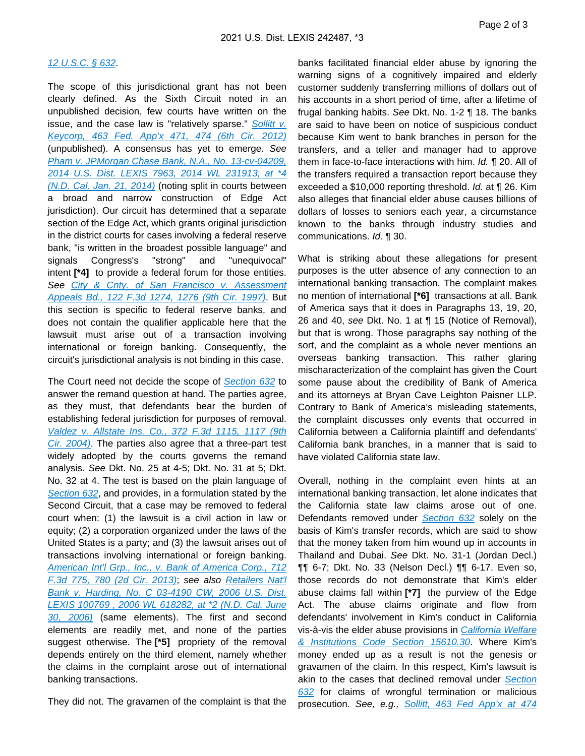#### [12 U.S.C. § 632](https://plus.lexis.com/api/document?collection=statutes-legislation&id=urn:contentItem:8SF8-7342-D6RV-H0TR-00000-00&context=1530671).

The scope of this jurisdictional grant has not been clearly defined. As the Sixth Circuit noted in an unpublished decision, few courts have written on the issue, and the case law is "relatively sparse." Sollitt v. [Keycorp, 463 Fed. App'x 471, 474 \(6th Cir. 2012\)](https://plus.lexis.com/api/document?collection=cases&id=urn:contentItem:54VT-SR91-F04K-P086-00000-00&context=1530671) (unpublished). A consensus has yet to emerge. See [Pham v. JPMorgan Chase Bank, N.A., No. 13-cv-04209,](https://plus.lexis.com/api/document?collection=cases&id=urn:contentItem:5BBP-NXT1-F04C-T3W9-00000-00&context=1530671)  [2014 U.S. Dist. LEXIS 7963, 2014 WL 231913, at \\*4](https://plus.lexis.com/api/document?collection=cases&id=urn:contentItem:5BBP-NXT1-F04C-T3W9-00000-00&context=1530671)  [\(N.D. Cal. Jan. 21, 2014\)](https://plus.lexis.com/api/document?collection=cases&id=urn:contentItem:5BBP-NXT1-F04C-T3W9-00000-00&context=1530671) (noting split in courts between a broad and narrow construction of Edge Act jurisdiction). Our circuit has determined that a separate section of the Edge Act, which grants original jurisdiction in the district courts for cases involving a federal reserve bank, "is written in the broadest possible language" and signals Congress's "strong" and "unequivocal" intent **[\*4]** to provide a federal forum for those entities. See City & Cnty. of San Francisco v. Assessment [Appeals Bd., 122 F.3d 1274, 1276 \(9th Cir. 1997\)](https://plus.lexis.com/api/document?collection=cases&id=urn:contentItem:3S42-37Y0-00B1-D1S2-00000-00&context=1530671). But this section is specific to federal reserve banks, and does not contain the qualifier applicable here that the lawsuit must arise out of a transaction involving international or foreign banking. Consequently, the circuit's jurisdictional analysis is not binding in this case.

The Court need not decide the scope of [Section 632](https://plus.lexis.com/api/document?collection=statutes-legislation&id=urn:contentItem:8SF8-7342-D6RV-H0TR-00000-00&context=1530671) to answer the remand question at hand. The parties agree, as they must, that defendants bear the burden of establishing federal jurisdiction for purposes of removal. [Valdez v. Allstate Ins. Co., 372 F.3d 1115, 1117 \(9th](https://plus.lexis.com/api/document?collection=cases&id=urn:contentItem:4CP2-5MY0-0038-X3M3-00000-00&context=1530671)  [Cir. 2004\)](https://plus.lexis.com/api/document?collection=cases&id=urn:contentItem:4CP2-5MY0-0038-X3M3-00000-00&context=1530671). The parties also agree that a three-part test widely adopted by the courts governs the remand analysis. See Dkt. No. 25 at 4-5; Dkt. No. 31 at 5; Dkt. No. 32 at 4. The test is based on the plain language of [Section 632](https://plus.lexis.com/api/document?collection=statutes-legislation&id=urn:contentItem:8SF8-7342-D6RV-H0TR-00000-00&context=1530671), and provides, in a formulation stated by the Second Circuit, that a case may be removed to federal court when: (1) the lawsuit is a civil action in law or equity; (2) a corporation organized under the laws of the United States is a party; and (3) the lawsuit arises out of transactions involving international or foreign banking. [American Int'l Grp., Inc., v. Bank of America Corp., 712](https://plus.lexis.com/api/document?collection=cases&id=urn:contentItem:5879-0WT1-F04K-J002-00000-00&context=1530671)  [F.3d 775, 780 \(2d Cir. 2013\)](https://plus.lexis.com/api/document?collection=cases&id=urn:contentItem:5879-0WT1-F04K-J002-00000-00&context=1530671); see also [Retailers Nat'l](https://plus.lexis.com/api/document?collection=cases&id=urn:contentItem:83JF-BD21-652H-72WP-00000-00&context=1530671)  [Bank v. Harding, No. C 03-4190 CW, 2006 U.S. Dist.](https://plus.lexis.com/api/document?collection=cases&id=urn:contentItem:83JF-BD21-652H-72WP-00000-00&context=1530671)  [LEXIS 100769 , 2006 WL 618282, at \\*2 \(N.D. Cal. June](https://plus.lexis.com/api/document?collection=cases&id=urn:contentItem:83JF-BD21-652H-72WP-00000-00&context=1530671)  [30, 2006\)](https://plus.lexis.com/api/document?collection=cases&id=urn:contentItem:83JF-BD21-652H-72WP-00000-00&context=1530671) (same elements). The first and second elements are readily met, and none of the parties suggest otherwise. The **[\*5]** propriety of the removal depends entirely on the third element, namely whether the claims in the complaint arose out of international banking transactions.

They did not. The gravamen of the complaint is that the

banks facilitated financial elder abuse by ignoring the warning signs of a cognitively impaired and elderly customer suddenly transferring millions of dollars out of his accounts in a short period of time, after a lifetime of frugal banking habits. See Dkt. No. 1-2 ¶ 18. The banks are said to have been on notice of suspicious conduct because Kim went to bank branches in person for the transfers, and a teller and manager had to approve them in face-to-face interactions with him. Id. ¶ 20. All of the transfers required a transaction report because they exceeded a \$10,000 reporting threshold. Id. at ¶ 26. Kim also alleges that financial elder abuse causes billions of dollars of losses to seniors each year, a circumstance known to the banks through industry studies and communications. Id. ¶ 30.

What is striking about these allegations for present purposes is the utter absence of any connection to an international banking transaction. The complaint makes no mention of international **[\*6]** transactions at all. Bank of America says that it does in Paragraphs 13, 19, 20, 26 and 40, see Dkt. No. 1 at ¶ 15 (Notice of Removal), but that is wrong. Those paragraphs say nothing of the sort, and the complaint as a whole never mentions an overseas banking transaction. This rather glaring mischaracterization of the complaint has given the Court some pause about the credibility of Bank of America and its attorneys at Bryan Cave Leighton Paisner LLP. Contrary to Bank of America's misleading statements, the complaint discusses only events that occurred in California between a California plaintiff and defendants' California bank branches, in a manner that is said to have violated California state law.

Overall, nothing in the complaint even hints at an international banking transaction, let alone indicates that the California state law claims arose out of one. Defendants removed under [Section 632](https://plus.lexis.com/api/document?collection=statutes-legislation&id=urn:contentItem:8SF8-7342-D6RV-H0TR-00000-00&context=1530671) solely on the basis of Kim's transfer records, which are said to show that the money taken from him wound up in accounts in Thailand and Dubai. See Dkt. No. 31-1 (Jordan Decl.) ¶¶ 6-7; Dkt. No. 33 (Nelson Decl.) ¶¶ 6-17. Even so, those records do not demonstrate that Kim's elder abuse claims fall within **[\*7]** the purview of the Edge Act. The abuse claims originate and flow from defendants' involvement in Kim's conduct in California vis-à-vis the elder abuse provisions in California Welfare [& Institutions Code Section 15610.30](https://plus.lexis.com/api/document?collection=statutes-legislation&id=urn:contentItem:5JX4-B0D1-66B9-80HN-00000-00&context=1530671). Where Kim's money ended up as a result is not the genesis or gravamen of the claim. In this respect, Kim's lawsuit is akin to the cases that declined removal under Section [632](https://plus.lexis.com/api/document?collection=statutes-legislation&id=urn:contentItem:8SF8-7342-D6RV-H0TR-00000-00&context=1530671) for claims of wrongful termination or malicious prosecution. See, e.g., [Sollitt, 463 Fed App'x at 474](https://plus.lexis.com/api/document?collection=cases&id=urn:contentItem:54VT-SR91-F04K-P086-00000-00&context=1530671)